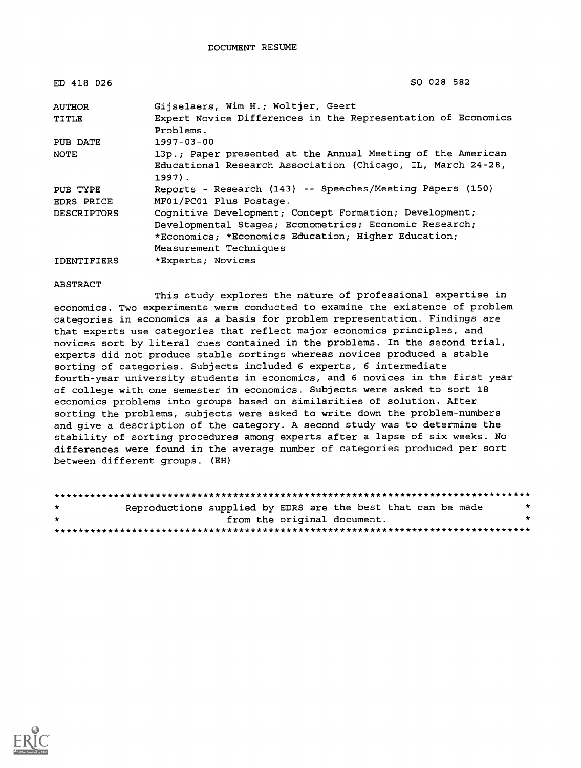| ED 418 026         | SO 028 582                                                                                                                             |
|--------------------|----------------------------------------------------------------------------------------------------------------------------------------|
| <b>AUTHOR</b>      | Gijselaers, Wim H.; Woltjer, Geert                                                                                                     |
| TITLE              | Expert Novice Differences in the Representation of Economics<br>Problems.                                                              |
| PUB DATE           | $1997 - 03 - 00$                                                                                                                       |
| NOTE               | 13p.; Paper presented at the Annual Meeting of the American<br>Educational Research Association (Chicago, IL, March 24-28,<br>$1997$ . |
| PUB TYPE           | Reports - Research (143) -- Speeches/Meeting Papers (150)                                                                              |
| EDRS PRICE         | MF01/PC01 Plus Postage.                                                                                                                |
| <b>DESCRIPTORS</b> | Cognitive Development; Concept Formation; Development;                                                                                 |
|                    | Developmental Stages; Econometrics; Economic Research;                                                                                 |
|                    | *Economics; *Economics Education; Higher Education;                                                                                    |
|                    | Measurement Techniques                                                                                                                 |
| <b>IDENTIFIERS</b> | *Experts; Novices                                                                                                                      |

#### ABSTRACT

This study explores the nature of professional expertise in economics. Two experiments were conducted to examine the existence of problem categories in economics as a basis for problem representation. Findings are that experts use categories that reflect major economics principles, and novices sort by literal cues contained in the problems. In the second trial, experts did not produce stable sortings whereas novices produced a stable sorting of categories. Subjects included 6 experts, 6 intermediate fourth-year university students in economics, and 6 novices in the first year of college with one semester in economics. Subjects were asked to sort 18 economics problems into groups based on similarities of solution. After sorting the problems, subjects were asked to write down the problem-numbers and give a description of the category. A second study was to determine the stability of sorting procedures among experts after a lapse of six weeks. No differences were found in the average number of categories produced per sort between different groups. (EH)

| $\star$         | Reproductions supplied by EDRS are the best that can be made |  |                             |  | $\star$ |
|-----------------|--------------------------------------------------------------|--|-----------------------------|--|---------|
| — <del>ak</del> |                                                              |  | from the original document. |  | $\star$ |
|                 |                                                              |  |                             |  |         |

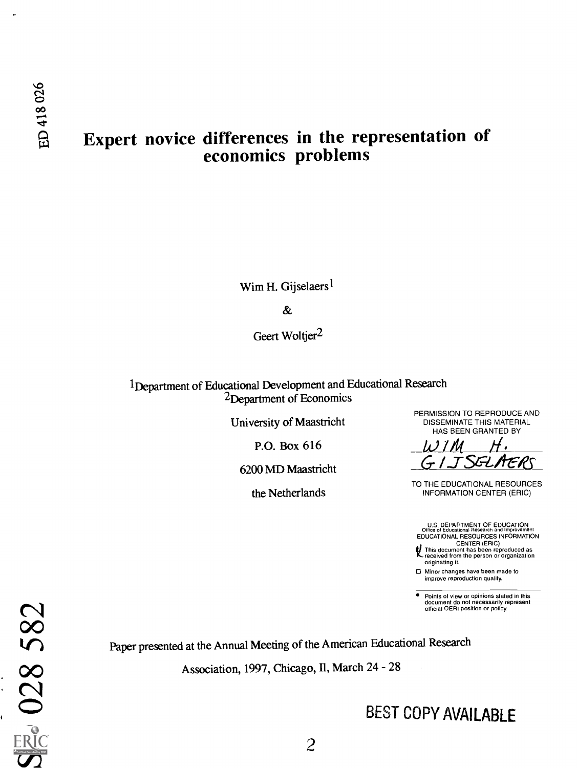# Expert novice differences in the representation of economics problems

Wim H. Gijselaers<sup>1</sup>

**&** 

Geert Woltjer<sup>2</sup>

iDepartment of Educational Development and Educational Research 2Department of Economics

University of Maastricht

P.O. Box  $616$ 

6200 MD Maastricht

PERMISSION TO REPRODUCE AND<br>DISSEMINATE THIS MATERIAL HAS BEEN GRANTED BY

TO THE EDUCATIONAL RESOURCES the Netherlands **INFORMATION CENTER (ERIC)** 

U.S. DEPARTMENT OF EDUCATION<br>Office of Educational Research and Improvement<br>EDUCATIONAL RESOURCES INFORMATION

CENTER (ERIC)<br>This document has been reproduced as<br>received from the person or organization originating it.

Minor changes have been made to improve reproduction quality.

Points of view or opinions stated in this document do not necessarily represent official OERI position or policy.

Paper presented at the Annual Meeting of the American Educational Research

Association, 1997, Chicago, Il, March 24 - 28

# BEST COPY AVAILABLE

N<sup>00</sup> kr) Association, 199  $\boldsymbol{\sigma}$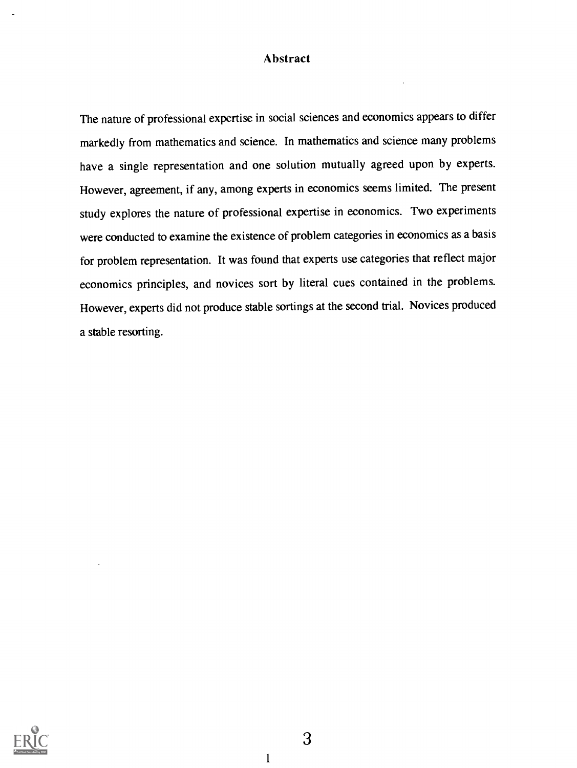### Abstract

The nature of professional expertise in social sciences and economics appears to differ markedly from mathematics and science. In mathematics and science many problems have a single representation and one solution mutually agreed upon by experts. However, agreement, if any, among experts in economics seems limited. The present study explores the nature of professional expertise in economics. Two experiments were conducted to examine the existence of problem categories in economics as a basis for problem representation. It was found that experts use categories that reflect major economics principles, and novices sort by literal cues contained in the problems. However, experts did not produce stable sortings at the second trial. Novices produced a stable resorting.



3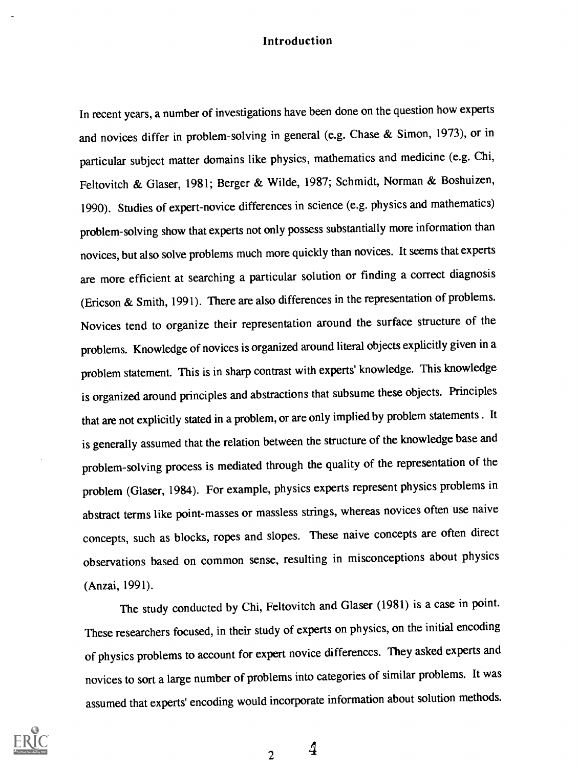#### Introduction

In recent years, a number of investigations have been done on the question how experts and novices differ in problem-solving in general (e.g. Chase & Simon, 1973), or in particular subject matter domains like physics, mathematics and medicine (e.g. Chi, Feltovitch & Glaser, 1981; Berger & Wilde, 1987; Schmidt, Norman & Boshuizen, 1990). Studies of expert-novice differences in science (e.g. physics and mathematics) problem-solving show that experts not only possess substantially more information than novices, but also solve problems much more quickly than novices. It seems that experts are more efficient at searching a particular solution or finding a correct diagnosis (Ericson & Smith, 1991). There are also differences in the representation of problems. Novices tend to organize their representation around the surface structure of the problems. Knowledge of novices is organized around literal objects explicitly given in a problem statement. This is in sharp contrast with experts' knowledge. This knowledge is organized around principles and abstractions that subsume these objects. Principles that are not explicitly stated in a problem, or are only implied by problem statements . It is generally assumed that the relation between the structure of the knowledge base and problem-solving process is mediated through the quality of the representation of the problem (Glaser, 1984). For example, physics experts represent physics problems in abstract terms like point-masses or massless strings, whereas novices often use naive concepts, such as blocks, ropes and slopes. These naive concepts are often direct observations based on common sense, resulting in misconceptions about physics (Anzai, 1991).

The study conducted by Chi, Feltovitch and Glaser (1981) is a case in point. These researchers focused, in their study of experts on physics, on the initial encoding of physics problems to account for expert novice differences. They asked experts and novices to sort a large number of problems into categories of similar problems. It was assumed that experts' encoding would incorporate information about solution methods.



2  $\frac{4}{3}$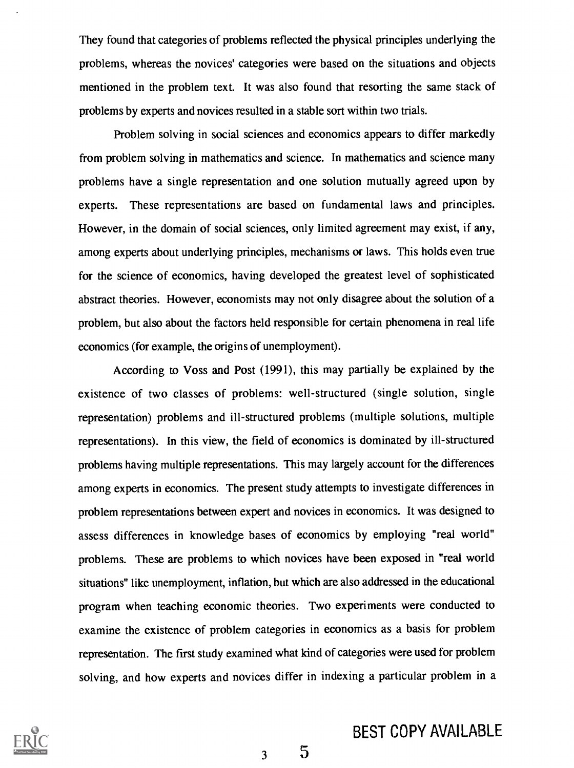They found that categories of problems reflected the physical principles underlying the problems, whereas the novices' categories were based on the situations and objects mentioned in the problem text. It was also found that resorting the same stack of problems by experts and novices resulted in a stable sort within two trials.

Problem solving in social sciences and economics appears to differ markedly from problem solving in mathematics and science. In mathematics and science many problems have a single representation and one solution mutually agreed upon by experts. These representations are based on fundamental laws and principles. However, in the domain of social sciences, only limited agreement may exist, if any, among experts about underlying principles, mechanisms or laws. This holds even true for the science of economics, having developed the greatest level of sophisticated abstract theories. However, economists may not only disagree about the solution of a problem, but also about the factors held responsible for certain phenomena in real life economics (for example, the origins of unemployment).

According to Voss and Post (1991), this may partially be explained by the existence of two classes of problems: well-structured (single solution, single representation) problems and ill-structured problems (multiple solutions, multiple representations). In this view, the field of economics is dominated by ill-structured problems having multiple representations. This may largely account for the differences among experts in economics. The present study attempts to investigate differences in problem representations between expert and novices in economics. It was designed to assess differences in knowledge bases of economics by employing "real world" problems. These are problems to which novices have been exposed in "real world situations" like unemployment, inflation, but which are also addressed in the educational program when teaching economic theories. Two experiments were conducted to examine the existence of problem categories in economics as a basis for problem representation. The first study examined what kind of categories were used for problem solving, and how experts and novices differ in indexing a particular problem in a



# BEST COPY AVAILABLE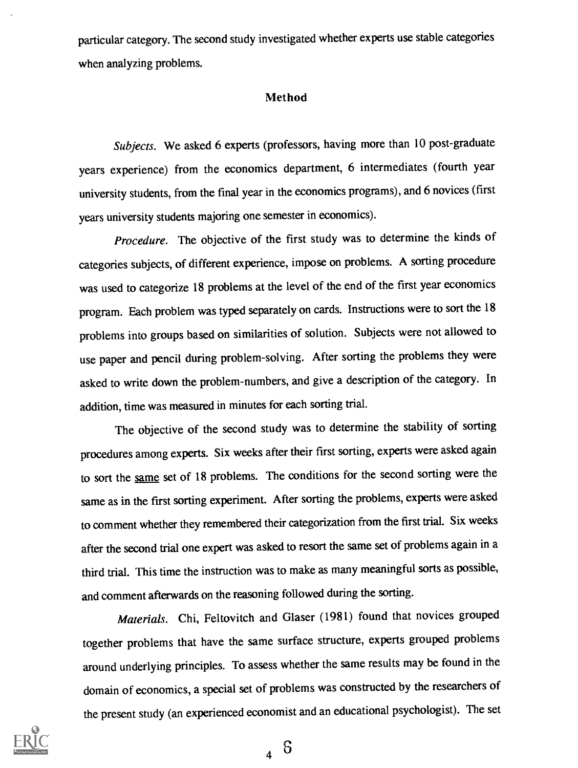particular category. The second study investigated whether experts use stable categories when analyzing problems.

#### Method

Subjects. We asked 6 experts (professors, having more than 10 post-graduate years experience) from the economics department, 6 intermediates (fourth year university students, from the final year in the economics programs), and 6 novices (first years university students majoring one semester in economics).

Procedure. The objective of the first study was to determine the kinds of categories subjects, of different experience, impose on problems. A sorting procedure was used to categorize 18 problems at the level of the end of the first year economics program. Each problem was typed separately on cards. Instructions were to sort the 18 problems into groups based on similarities of solution. Subjects were not allowed to use paper and pencil during problem-solving. After sorting the problems they were asked to write down the problem-numbers, and give a description of the category. In addition, time was measured in minutes for each sorting trial.

The objective of the second study was to determine the stability of sorting procedures among experts. Six weeks after their first sorting, experts were asked again to sort the same set of 18 problems. The conditions for the second sorting were the same as in the first sorting experiment. After sorting the problems, experts were asked to comment whether they remembered their categorization from the first trial. Six weeks after the second trial one expert was asked to resort the same set of problems again in a third trial. This time the instruction was to make as many meaningful sorts as possible, and comment afterwards on the reasoning followed during the sorting.

Materials. Chi, Feltovitch and Glaser (1981) found that novices grouped together problems that have the same surface structure, experts grouped problems around underlying principles. To assess whether the same results may be found in the domain of economics, a special set of problems was constructed by the researchers of the present study (an experienced economist and an educational psychologist). The set



 $6\overline{6}$  $\overline{\mathbf{A}}$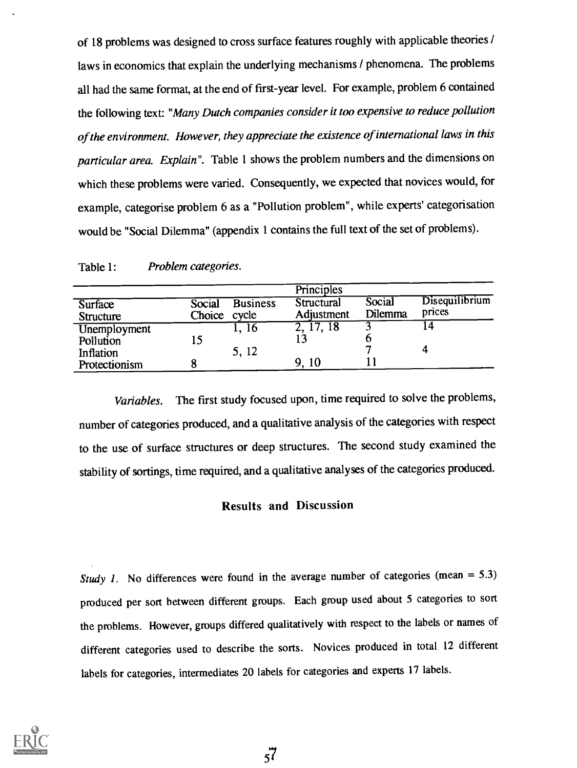of 18 problems was designed to cross surface features roughly with applicable theories / laws in economics that explain the underlying mechanisms / phenomena. The problems all had the same format, at the end of first-year level. For example, problem 6 contained the following text: "Many Dutch companies consider it too expensive to reduce pollution of the environment. However, they appreciate the existence of international laws in this particular area. Explain". Table 1 shows the problem numbers and the dimensions on which these problems were varied. Consequently, we expected that novices would, for example, categorise problem 6 as a "Pollution problem", while experts' categorisation would be "Social Dilemma" (appendix 1 contains the full text of the set of problems).

|                                    |                        |                 | Principles               |                   |                                 |  |
|------------------------------------|------------------------|-----------------|--------------------------|-------------------|---------------------------------|--|
| <b>Surface</b><br><b>Structure</b> | Social<br>Choice cycle | <b>Business</b> | Structural<br>Adjustment | Social<br>Dilemma | <b>Disequilibrium</b><br>prices |  |
| Unemployment<br>Pollution          | 15                     | -10<br>- --     | 7.18<br>٠.               | −                 |                                 |  |

Protectionism 8 9, 10 11

Table 1: Problem categories.

Variables. The first study focused upon, time required to solve the problems, number of categories produced, and a qualitative analysis of the categories with respect to the use of surface structures or deep structures. The second study examined the stability of sortings, time required, and a qualitative analyses of the categories produced.

Inflation  $5, 12$   $7$   $4$ 

### Results and Discussion

Study 1. No differences were found in the average number of categories (mean  $= 5.3$ ) produced per sort between different groups. Each group used about 5 categories to sort the problems. However, groups differed qualitatively with respect to the labels or names of different categories used to describe the sorts. Novices produced in total 12 different labels for categories, intermediates 20 labels for categories and experts 17 labels.

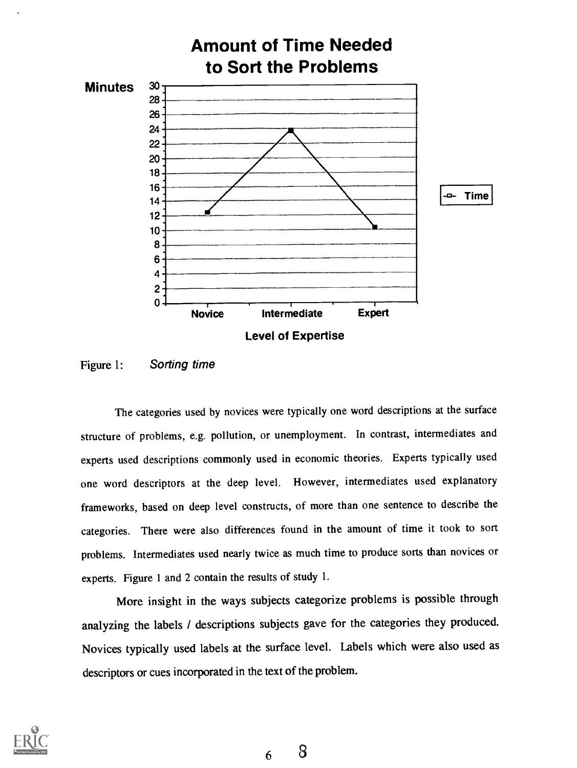

Figure 1: Sorting time

The categories used by novices were typically one word descriptions at the surface structure of problems, e.g. pollution, or unemployment. In contrast, intermediates and experts used descriptions commonly used in economic theories. Experts typically used one word descriptors at the deep level. However, intermediates used explanatory frameworks, based on deep level constructs, of more than one sentence to describe the categories. There were also differences found in the amount of time it took to sort problems. Intermediates used nearly twice as much time to produce sorts than novices or experts. Figure 1 and 2 contain the results of study 1.

More insight in the ways subjects categorize problems is possible through analyzing the labels / descriptions subjects gave for the categories they produced. Novices typically used labels at the surface level. Labels which were also used as descriptors or cues incorporated in the text of the problem.

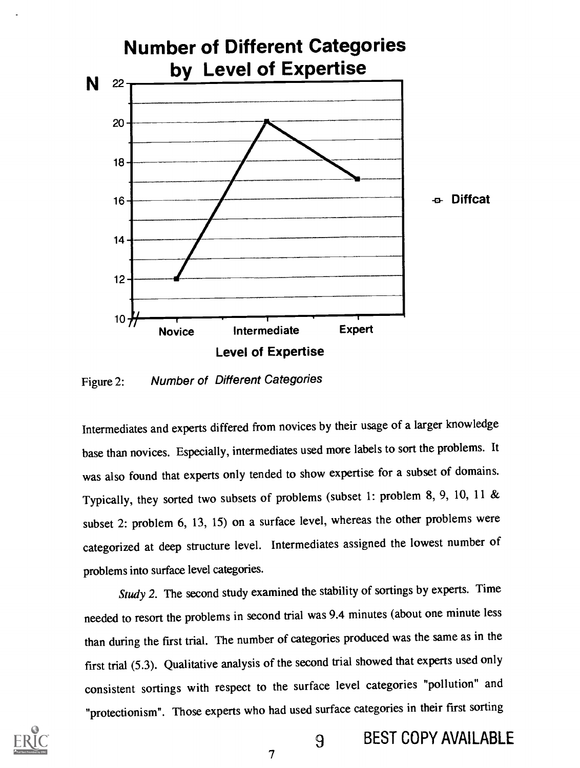

Figure 2: Number of Different Categories

Intermediates and experts differed from novices by their usage of a larger knowledge base than novices. Especially, intermediates used more labels to sort the problems. It was also found that experts only tended to show expertise for a subset of domains. Typically, they sorted two subsets of problems (subset 1: problem 8, 9, 10, 11 & subset 2: problem 6, 13, 15) on a surface level, whereas the other problems were categorized at deep structure level. Intermediates assigned the lowest number of problems into surface level categories.

Study 2. The second study examined the stability of sortings by experts. Time needed to resort the problems in second trial was 9.4 minutes (about one minute less than during the first trial. The number of categories produced was the same as in the first trial (5.3). Qualitative analysis of the second trial showed that experts used only consistent sortings with respect to the surface level categories "pollution" and "protectionism". Those experts who had used surface categories in their first sorting



9 BEST COPY AVAILABLE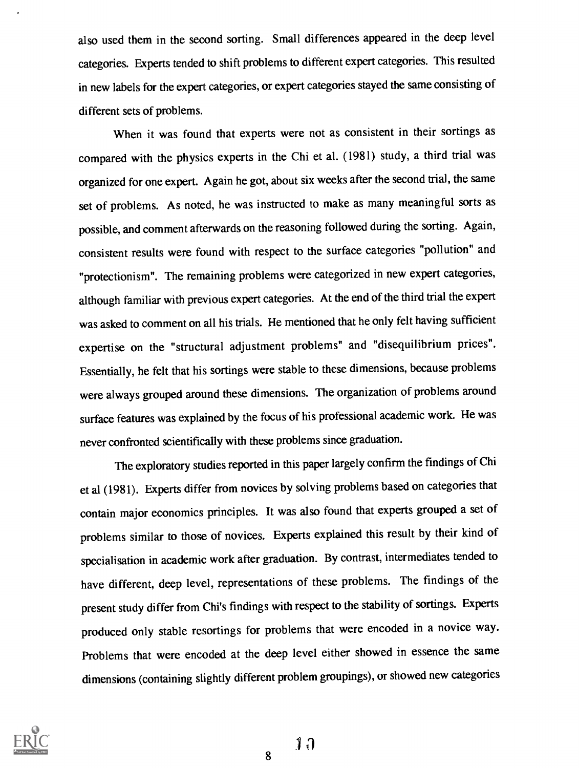also used them in the second sorting. Small differences appeared in the deep level categories. Experts tended to shift problems to different expert categories. This resulted in new labels for the expert categories, or expert categories stayed the same consisting of different sets of problems.

When it was found that experts were not as consistent in their sortings as compared with the physics experts in the Chi et al. (1981) study, a third trial was organized for one expert. Again he got, about six weeks after the second trial, the same set of problems. As noted, he was instructed to make as many meaningful sorts as possible, and comment afterwards on the reasoning followed during the sorting. Again, consistent results were found with respect to the surface categories "pollution" and "protectionism". The remaining problems were categorized in new expert categories, although familiar with previous expert categories. At the endof the third trial the expert was asked to comment on all his trials. He mentioned that he only felt having sufficient expertise on the "structural adjustment problems" and "disequilibrium prices". Essentially, he felt that his sortings were stable to these dimensions, because problems were always grouped around these dimensions. The organization of problems around surface features was explained by the focus of his professional academic work. He was never confronted scientifically with these problems since graduation.

The exploratory studies reported in this paper largely confirm the findings of Chi et al (1981). Experts differ from novices by solving problems based on categories that contain major economics principles. It was also found that experts grouped a set of problems similar to those of novices. Experts explained this result by their kind of specialisation in academic work after graduation. By contrast, intermediates tended to have different, deep level, representations of these problems. The findings of the present study differ from Chi's findings with respect to the stability of sortings. Experts produced only stable resortings for problems that were encoded in a novice way. Problems that were encoded at the deep level either showed in essence the same dimensions (containing slightly different problem groupings), or showed new categories

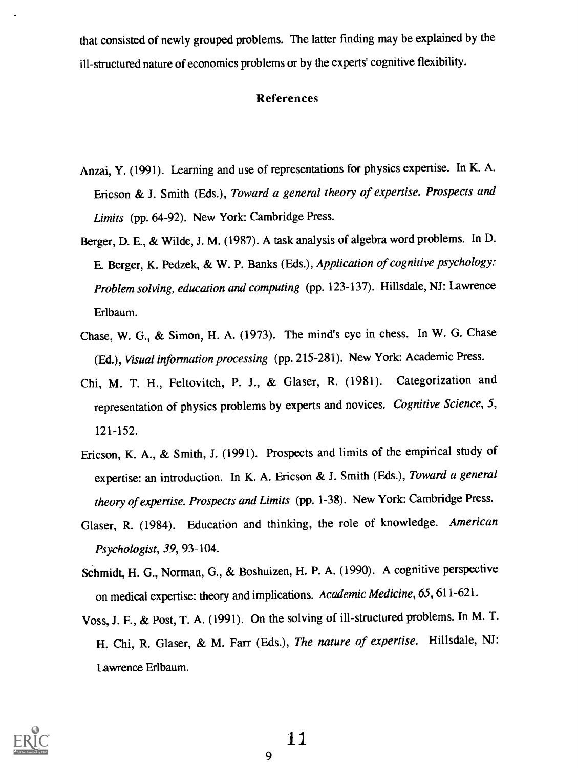that consisted of newly grouped problems. The latter finding may be explained by the ill-structured nature of economics problems or by the experts' cognitive flexibility.

#### References

- Anzai, Y. (1991). Learning and use of representations for physics expertise. In K. A. Ericson & J. Smith (Eds.), Toward a general theory of expertise. Prospects and Limits (pp. 64-92). New York: Cambridge Press.
- Berger, D. E., & Wilde, J. M. (1987). A task analysis of algebra word problems. In D. E. Berger, K. Pedzek, & W. P. Banks (Eds.), Application of cognitive psychology: Problem solving, education and computing (pp. 123-137). Hillsdale, NJ: Lawrence Erlbaum.
- Chase, W. G., & Simon, H. A. (1973). The mind's eye in chess. In W. G. Chase (Ed.), Visual information processing (pp. 215-281). New York: Academic Press.
- Chi, M. T. H., Feltovitch, P. J., & Glaser, R. (1981). Categorization and representation of physics problems by experts and novices. Cognitive Science, 5, 121-152.
- Ericson, K. A., & Smith, J. (1991). Prospects and limits of the empirical study of expertise: an introduction. In K. A. Ericson & J. Smith (Eds.), Toward a general theory of expertise. Prospects and Limits (pp. 1-38). New York: Cambridge Press.
- Glaser, R. (1984). Education and thinking, the role of knowledge. American Psychologist, 39, 93-104.
- Schmidt, H. G., Norman, G., & Boshuizen, H. P. A. (1990). A cognitive perspective on medical expertise: theory and implications. Academic Medicine, 65, 611-621.
- Voss, J. F., & Post, T. A. (1991). On the solving of ill-structured problems. In M. T. H. Chi, R. Glaser, & M. Farr (Eds.), The nature of expertise. Hillsdale, NJ: Lawrence Erlbaum.

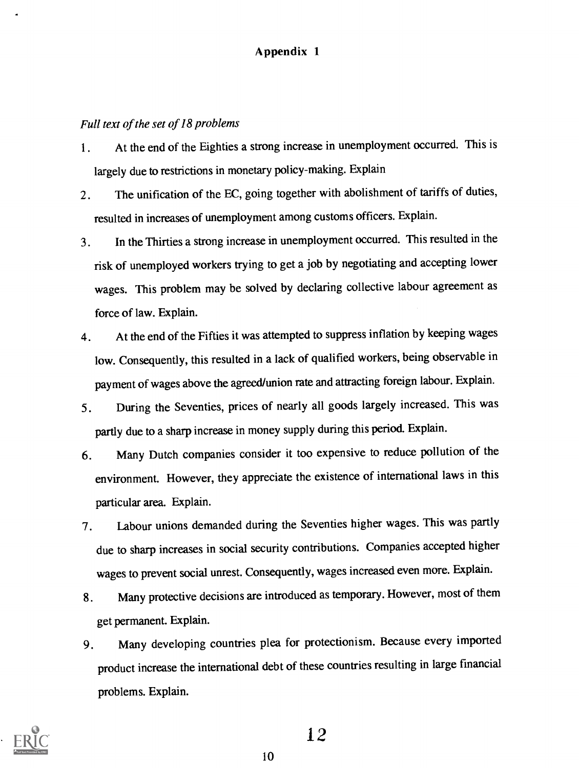### Appendix 1

### Full text of the set of 18 problems

- 1. At the end of the Eighties a strong increase in unemployment occurred. This is largely due to restrictions in monetary policy-making. Explain
- 2. The unification of the EC, going together with abolishment of tariffs of duties, resulted in increases of unemployment among customs officers. Explain.
- 3. In the Thirties a strong increase in unemployment occurred. This resulted in the risk of unemployed workers trying to get a job by negotiating and accepting lower wages. This problem may be solved by declaring collective labour agreement as force of law. Explain.
- 4. At the end of the Fifties it was attempted to suppressinflation by keeping wages low. Consequently, this resulted in a lack of qualified workers, being observable in payment of wages above the agreed/union rate and attracting foreign labour. Explain.
- 5. During the Seventies, prices of nearly all goods largely increased. This was partly due to a sharp increase in money supply during this period. Explain.
- 6. Many Dutch companies consider it too expensive to reduce pollution of the environment. However, they appreciate the existence of international laws in this particular area. Explain.
- 7. Labour unions demanded during the Seventies higher wages. This was partly due to sharp increases in social security contributions. Companies accepted higher wages to prevent social unrest. Consequently, wages increased even more. Explain.
- 8. Many protective decisions are introduced as temporary. However, most of them get permanent. Explain.
- 9. Many developing countries plea for protectionism. Because every imported product increase the international debt of these countries resulting in large financial problems. Explain.

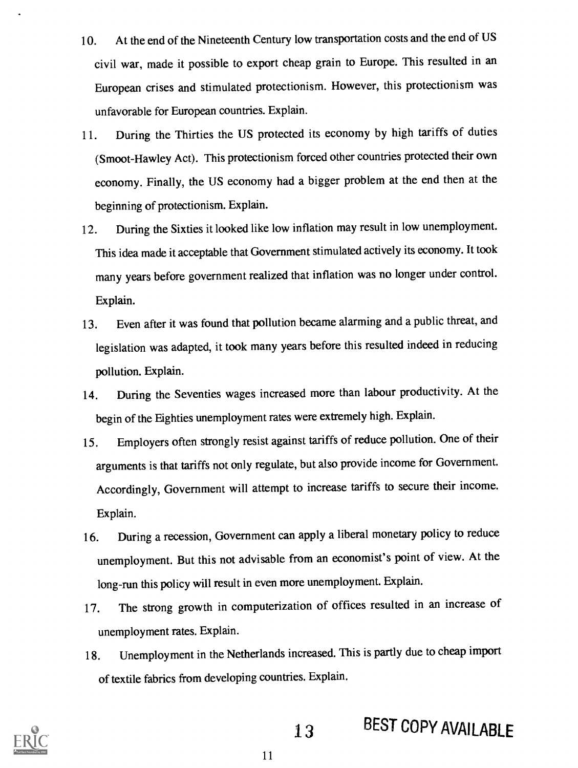- 10. At the end of the Nineteenth Century low transportation costs and the end of US civil war, made it possible to export cheap grain to Europe. This resulted in an European crises and stimulated protectionism. However, this protectionism was unfavorable for European countries. Explain.
- 11. During the Thirties the US protected its economy by high tariffs of duties (Smoot-Hawley Act). This protectionism forced other countries protected their own economy. Finally, the US economy had a bigger problem at the end then at the beginning of protectionism. Explain.
- 12. During the Sixties it looked like low inflation may result in low unemployment. This idea made it acceptable that Government stimulated actively its economy. It took many years before government realized that inflation was no longer under control. Explain.
- 13. Even after it was found that pollution became alarming and a public threat, and legislation was adapted, it took many years before this resulted indeed in reducing pollution. Explain.
- 14. During the Seventies wages increased more than labour productivity. At the begin of the Eighties unemployment rates were extremely high. Explain.
- 15. Employers often strongly resist against tariffs of reduce pollution. One of their arguments is that tariffs not only regulate, but also provide income for Government. Accordingly, Government will attempt to increase tariffs to secure their income. Explain.
- 16. During a recession, Government can apply a liberal monetary policy to reduce unemployment. But this not advisable from an economist's point of view. At the long-run this policy will result in even more unemployment. Explain.
- 17. The strong growth in computerization of offices resulted in an increase of unemployment rates. Explain.
- 18. Unemployment in the Netherlands increased. This is partly due to cheap import of textile fabrics from developing countries. Explain.



13 BEST COPY AVAILABLE